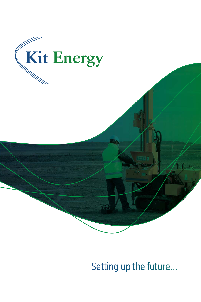

## Setting up the future...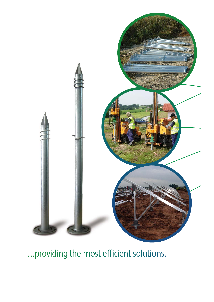

... providing the most efficient solutions.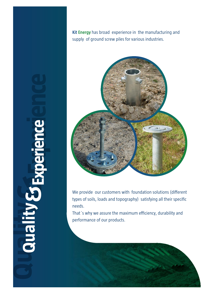**Quality Sta &Experience** **Kit Energy** has broad experience in the manufacturing and supply of ground screw piles for various industries.



We provide our customers with foundation solutions (different types of soils, loads and topography) satisfying all their specific needs.

That´s why we assure the maximum efficiency, durability and performance of our products.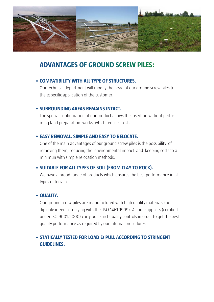

## **ADVANTAGES OF GROUND SCREW PILES:**

#### • COMPATIBILITY WITH ALL TYPE OF STRUCTURES.

Our technical department will modify the head of our ground screw piles to the especific application of the customer.

#### • SURROUNDING AREAS REMAINS INTACT.

**TERROUNDING AREAS REMAINS INTERFERENT CONFIDENT** ming land preparation works, which reduces costs.

#### • EASY REMOVAL, SIMPLE AND EASY TO RELOCATE.

One of the main advantages of our ground screw piles is the possibility of removing them, reducing the environmental impact and keeping costs to a minimun with simple relocation methods.

#### • SUITABLE FOR ALL TYPES OF SOIL (FROM CLAY TO ROCK).

We have a broad range of products which ensures the best performance in all types of terrain.

#### • QUALITY.

**Our ground screw piles are manufactured with high quality materials (hot area)** dip galvanized complying with the ISO 1461:1999). All our suppliers (certified under ISO 9001:2000) carry out strict quality controls in order to get the best quality performance as required by our internal procedures.

### • STATICALLY TESTED FOR LOAD & PULL ACCORDING TO STRINGENT **STATICALLY TESTED FOR LOAD & PULL ACCORDING TO STRINGENT**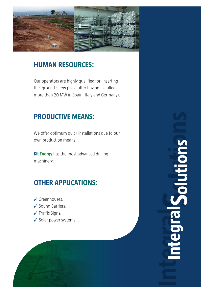

#### **U S O U C S**

Our operators are highly qualified for inserting the ground screw piles (after having installed more than 20 MW in Spain, Italy and Germany).

# **PRODUCTIVE MEANS:**

We offer optimum quick installations due to our own production means.

**Kit Energy** has the most advanced drilling machinery.

#### **OTHER C O S**

- ✓ Greenhouses.
- ✓ Sound Barriers.
- ✓ Traffic Signs.
- ✓ Solar power systems...



**IntegralSolutionsSuplifiers POT**